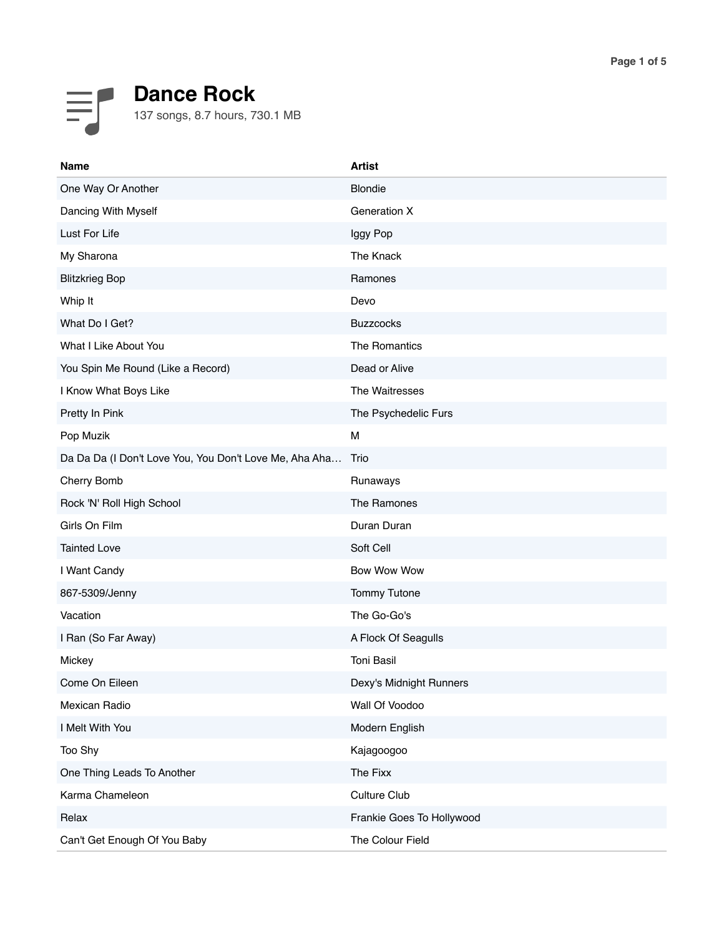## F **Dance Rock** 137 songs, 8.7 hours, 730.1 MB

| <b>Name</b>                                            | <b>Artist</b>             |
|--------------------------------------------------------|---------------------------|
| One Way Or Another                                     | <b>Blondie</b>            |
| Dancing With Myself                                    | Generation X              |
| Lust For Life                                          | Iggy Pop                  |
| My Sharona                                             | The Knack                 |
| <b>Blitzkrieg Bop</b>                                  | Ramones                   |
| Whip It                                                | Devo                      |
| What Do I Get?                                         | <b>Buzzcocks</b>          |
| What I Like About You                                  | The Romantics             |
| You Spin Me Round (Like a Record)                      | Dead or Alive             |
| I Know What Boys Like                                  | The Waitresses            |
| Pretty In Pink                                         | The Psychedelic Furs      |
| Pop Muzik                                              | M                         |
| Da Da Da (I Don't Love You, You Don't Love Me, Aha Aha | Trio                      |
| Cherry Bomb                                            | Runaways                  |
| Rock 'N' Roll High School                              | The Ramones               |
| Girls On Film                                          | Duran Duran               |
| <b>Tainted Love</b>                                    | Soft Cell                 |
| I Want Candy                                           | <b>Bow Wow Wow</b>        |
| 867-5309/Jenny                                         | <b>Tommy Tutone</b>       |
| Vacation                                               | The Go-Go's               |
| I Ran (So Far Away)                                    | A Flock Of Seagulls       |
| Mickey                                                 | Toni Basil                |
| Come On Eileen                                         | Dexy's Midnight Runners   |
| Mexican Radio                                          | Wall Of Voodoo            |
| I Melt With You                                        | Modern English            |
| Too Shy                                                | Kajagoogoo                |
| One Thing Leads To Another                             | The Fixx                  |
| Karma Chameleon                                        | Culture Club              |
| Relax                                                  | Frankie Goes To Hollywood |
| Can't Get Enough Of You Baby                           | The Colour Field          |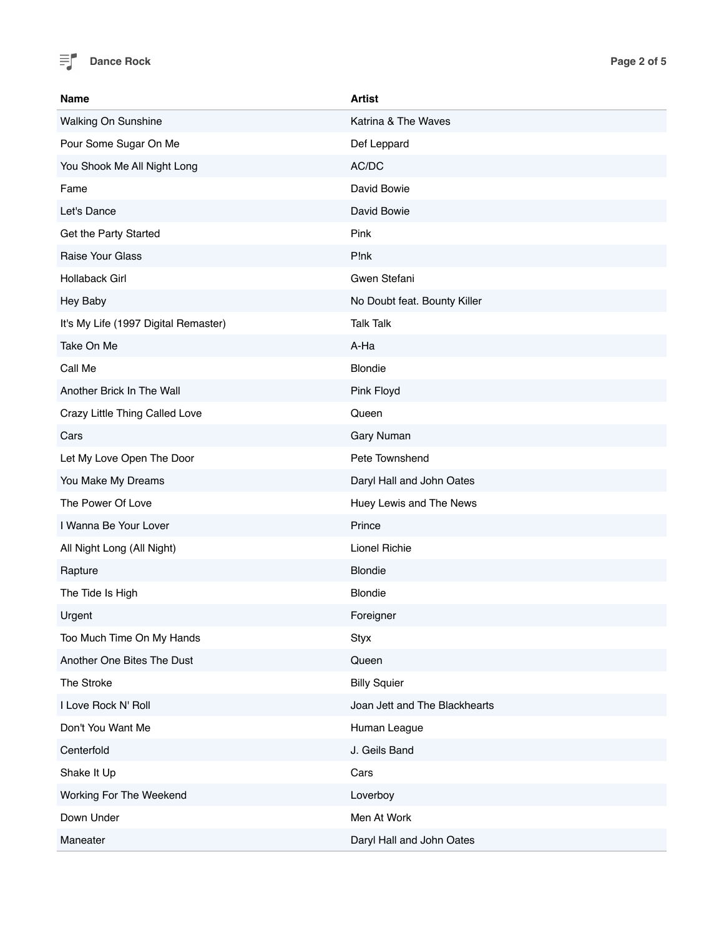

| <b>Name</b>                          | <b>Artist</b>                 |
|--------------------------------------|-------------------------------|
| Walking On Sunshine                  | Katrina & The Waves           |
| Pour Some Sugar On Me                | Def Leppard                   |
| You Shook Me All Night Long          | AC/DC                         |
| Fame                                 | David Bowie                   |
| Let's Dance                          | David Bowie                   |
| Get the Party Started                | Pink                          |
| Raise Your Glass                     | P!nk                          |
| Hollaback Girl                       | Gwen Stefani                  |
| Hey Baby                             | No Doubt feat. Bounty Killer  |
| It's My Life (1997 Digital Remaster) | <b>Talk Talk</b>              |
| Take On Me                           | A-Ha                          |
| Call Me                              | <b>Blondie</b>                |
| Another Brick In The Wall            | Pink Floyd                    |
| Crazy Little Thing Called Love       | Queen                         |
| Cars                                 | Gary Numan                    |
| Let My Love Open The Door            | Pete Townshend                |
| You Make My Dreams                   | Daryl Hall and John Oates     |
| The Power Of Love                    | Huey Lewis and The News       |
| I Wanna Be Your Lover                | Prince                        |
| All Night Long (All Night)           | Lionel Richie                 |
| Rapture                              | <b>Blondie</b>                |
| The Tide Is High                     | <b>Blondie</b>                |
| Urgent                               | Foreigner                     |
| Too Much Time On My Hands            | Styx                          |
| Another One Bites The Dust           | Queen                         |
| The Stroke                           | <b>Billy Squier</b>           |
| I Love Rock N' Roll                  | Joan Jett and The Blackhearts |
| Don't You Want Me                    | Human League                  |
| Centerfold                           | J. Geils Band                 |
| Shake It Up                          | Cars                          |
| Working For The Weekend              | Loverboy                      |
| Down Under                           | Men At Work                   |
| Maneater                             | Daryl Hall and John Oates     |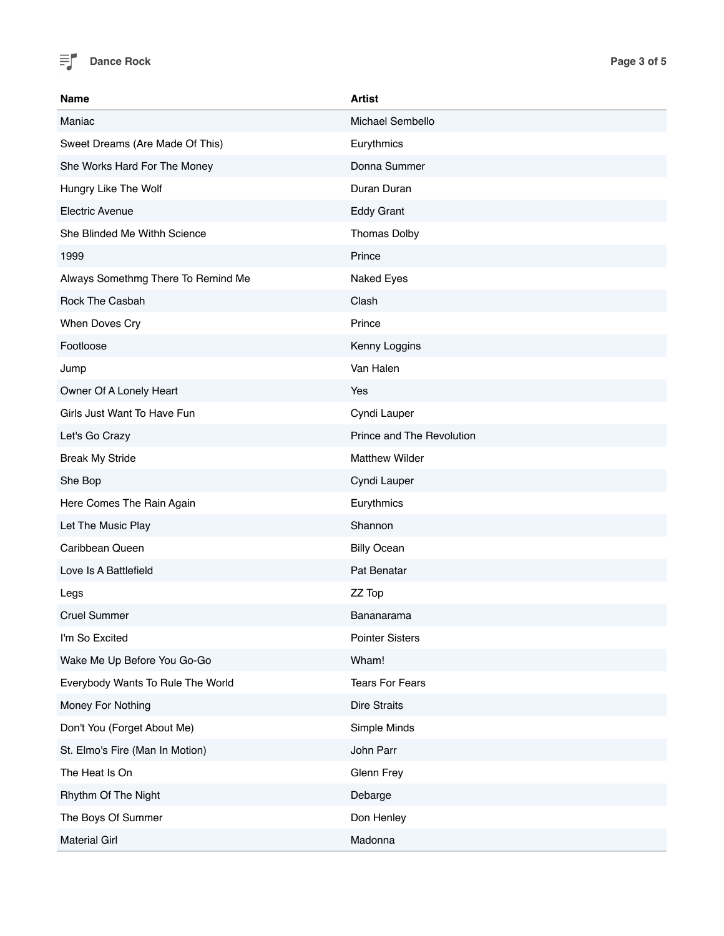

| <b>Name</b>                        | <b>Artist</b>             |
|------------------------------------|---------------------------|
| Maniac                             | Michael Sembello          |
| Sweet Dreams (Are Made Of This)    | Eurythmics                |
| She Works Hard For The Money       | Donna Summer              |
| Hungry Like The Wolf               | Duran Duran               |
| <b>Electric Avenue</b>             | <b>Eddy Grant</b>         |
| She Blinded Me Withh Science       | Thomas Dolby              |
| 1999                               | Prince                    |
| Always Somethmg There To Remind Me | Naked Eyes                |
| Rock The Casbah                    | Clash                     |
| When Doves Cry                     | Prince                    |
| Footloose                          | Kenny Loggins             |
| Jump                               | Van Halen                 |
| Owner Of A Lonely Heart            | Yes                       |
| Girls Just Want To Have Fun        | Cyndi Lauper              |
| Let's Go Crazy                     | Prince and The Revolution |
| <b>Break My Stride</b>             | <b>Matthew Wilder</b>     |
| She Bop                            | Cyndi Lauper              |
| Here Comes The Rain Again          | Eurythmics                |
| Let The Music Play                 | Shannon                   |
| Caribbean Queen                    | <b>Billy Ocean</b>        |
| Love Is A Battlefield              | Pat Benatar               |
| Legs                               | ZZ Top                    |
| <b>Cruel Summer</b>                | Bananarama                |
| I'm So Excited                     | <b>Pointer Sisters</b>    |
| Wake Me Up Before You Go-Go        | Wham!                     |
| Everybody Wants To Rule The World  | <b>Tears For Fears</b>    |
| Money For Nothing                  | <b>Dire Straits</b>       |
| Don't You (Forget About Me)        | Simple Minds              |
| St. Elmo's Fire (Man In Motion)    | John Parr                 |
| The Heat Is On                     | Glenn Frey                |
| Rhythm Of The Night                | Debarge                   |
| The Boys Of Summer                 | Don Henley                |
| <b>Material Girl</b>               | Madonna                   |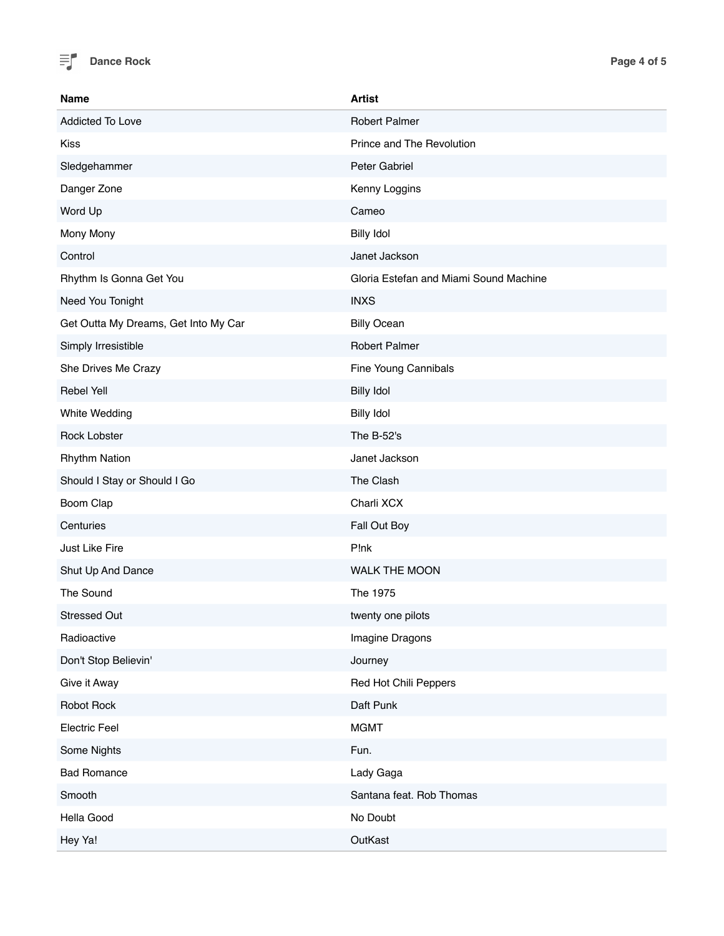

| <b>Name</b>                          | <b>Artist</b>                          |
|--------------------------------------|----------------------------------------|
| Addicted To Love                     | <b>Robert Palmer</b>                   |
| <b>Kiss</b>                          | Prince and The Revolution              |
| Sledgehammer                         | Peter Gabriel                          |
| Danger Zone                          | Kenny Loggins                          |
| Word Up                              | Cameo                                  |
| Mony Mony                            | <b>Billy Idol</b>                      |
| Control                              | Janet Jackson                          |
| Rhythm Is Gonna Get You              | Gloria Estefan and Miami Sound Machine |
| Need You Tonight                     | <b>INXS</b>                            |
| Get Outta My Dreams, Get Into My Car | <b>Billy Ocean</b>                     |
| Simply Irresistible                  | <b>Robert Palmer</b>                   |
| She Drives Me Crazy                  | Fine Young Cannibals                   |
| <b>Rebel Yell</b>                    | <b>Billy Idol</b>                      |
| White Wedding                        | <b>Billy Idol</b>                      |
| <b>Rock Lobster</b>                  | The B-52's                             |
| <b>Rhythm Nation</b>                 | Janet Jackson                          |
| Should I Stay or Should I Go         | The Clash                              |
| Boom Clap                            | Charli XCX                             |
| Centuries                            | Fall Out Boy                           |
| Just Like Fire                       | P!nk                                   |
| Shut Up And Dance                    | WALK THE MOON                          |
| The Sound                            | The 1975                               |
| <b>Stressed Out</b>                  | twenty one pilots                      |
| Radioactive                          | Imagine Dragons                        |
| Don't Stop Believin'                 | Journey                                |
| Give it Away                         | Red Hot Chili Peppers                  |
| Robot Rock                           | Daft Punk                              |
| <b>Electric Feel</b>                 | <b>MGMT</b>                            |
| Some Nights                          | Fun.                                   |
| <b>Bad Romance</b>                   | Lady Gaga                              |
| Smooth                               | Santana feat. Rob Thomas               |
| Hella Good                           | No Doubt                               |
| Hey Ya!                              | OutKast                                |